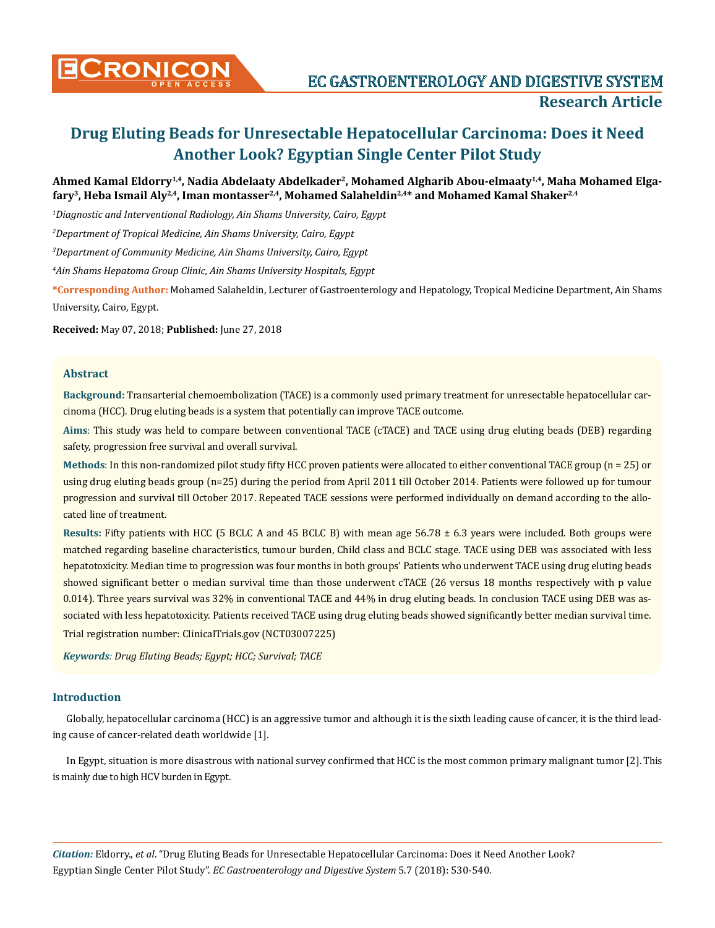

**CRONICON EC GASTROENTEROLOGY AND DIGESTIVE SYSTEM Research Article**

# **Drug Eluting Beads for Unresectable Hepatocellular Carcinoma: Does it Need Another Look? Egyptian Single Center Pilot Study**

## **Ahmed Kamal Eldorry1,4, Nadia Abdelaaty Abdelkader2, Mohamed Algharib Abou-elmaaty1,4, Maha Mohamed Elga**fary<sup>3</sup>, Heba Ismail Aly<sup>2,4</sup>, Iman montasser<sup>2,4</sup>, Mohamed Salaheldin<sup>2,4\*</sup> and Mohamed Kamal Shaker<sup>2,4</sup>

*1 Diagnostic and Interventional Radiology, Ain Shams University, Cairo, Egypt*

*2 Department of Tropical Medicine, Ain Shams University, Cairo, Egypt*

*3 Department of Community Medicine, Ain Shams University, Cairo, Egypt*

*4 Ain Shams Hepatoma Group Clinic, Ain Shams University Hospitals, Egypt*

**\*Corresponding Author:** Mohamed Salaheldin, Lecturer of Gastroenterology and Hepatology, Tropical Medicine Department, Ain Shams University, Cairo, Egypt.

**Received:** May 07, 2018; **Published:** June 27, 2018

#### **Abstract**

**Background:** Transarterial chemoembolization (TACE) is a commonly used primary treatment for unresectable hepatocellular carcinoma (HCC). Drug eluting beads is a system that potentially can improve TACE outcome.

**Aims**: This study was held to compare between conventional TACE (cTACE) and TACE using drug eluting beads (DEB) regarding safety, progression free survival and overall survival.

**Methods**: In this non-randomized pilot study fifty HCC proven patients were allocated to either conventional TACE group (n = 25) or using drug eluting beads group (n=25) during the period from April 2011 till October 2014. Patients were followed up for tumour progression and survival till October 2017. Repeated TACE sessions were performed individually on demand according to the allocated line of treatment.

**Results:** Fifty patients with HCC (5 BCLC A and 45 BCLC B) with mean age 56.78 ± 6.3 years were included. Both groups were matched regarding baseline characteristics, tumour burden, Child class and BCLC stage. TACE using DEB was associated with less hepatotoxicity. Median time to progression was four months in both groups' Patients who underwent TACE using drug eluting beads showed significant better o median survival time than those underwent cTACE (26 versus 18 months respectively with p value 0.014). Three years survival was 32% in conventional TACE and 44% in drug eluting beads. In conclusion TACE using DEB was associated with less hepatotoxicity. Patients received TACE using drug eluting beads showed significantly better median survival time.

Trial registration number: ClinicalTrials.gov (NCT03007225)

*Keywords: Drug Eluting Beads; Egypt; HCC; Survival; TACE*

#### **Introduction**

Globally, hepatocellular carcinoma (HCC) is an aggressive tumor and although it is the sixth leading cause of cancer, it is the third leading cause of cancer-related death worldwide [1].

In Egypt, situation is more disastrous with national survey confirmed that HCC is the most common primary malignant tumor [2]. This is mainly due to high HCV burden in Egypt.

*Citation:* Eldorry., *et al*. "Drug Eluting Beads for Unresectable Hepatocellular Carcinoma: Does it Need Another Look? Egyptian Single Center Pilot Study". *EC Gastroenterology and Digestive System* 5.7 (2018): 530-540.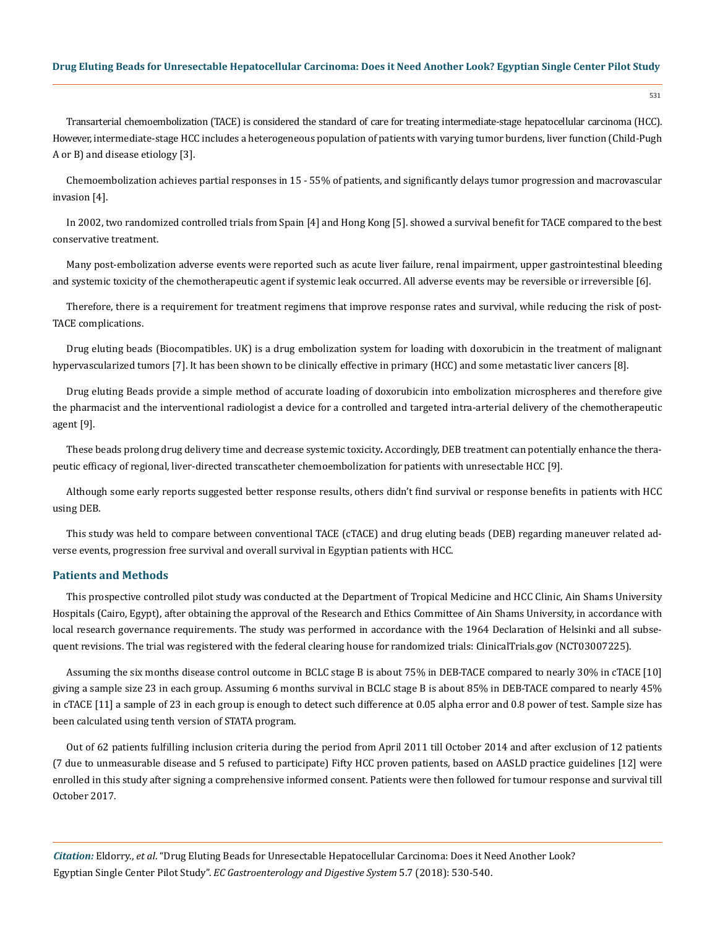Transarterial chemoembolization (TACE) is considered the standard of care for treating intermediate-stage hepatocellular carcinoma (HCC). However, intermediate-stage HCC includes a heterogeneous population of patients with varying tumor burdens, liver function (Child-Pugh A or B) and disease etiology [3].

Chemoembolization achieves partial responses in 15 - 55% of patients, and significantly delays tumor progression and macrovascular invasion [4].

In 2002, two randomized controlled trials from Spain [4] and Hong Kong [5]. showed a survival benefit for TACE compared to the best conservative treatment.

Many post-embolization adverse events were reported such as acute liver failure, renal impairment, upper gastrointestinal bleeding and systemic toxicity of the chemotherapeutic agent if systemic leak occurred. All adverse events may be reversible or irreversible [6].

Therefore, there is a requirement for treatment regimens that improve response rates and survival, while reducing the risk of post-TACE complications.

Drug eluting beads (Biocompatibles. UK) is a drug embolization system for loading with doxorubicin in the treatment of malignant hypervascularized tumors [7]. It has been shown to be clinically effective in primary (HCC) and some metastatic liver cancers [8].

Drug eluting Beads provide a simple method of accurate loading of doxorubicin into embolization microspheres and therefore give the pharmacist and the interventional radiologist a device for a controlled and targeted intra-arterial delivery of the chemotherapeutic agent [9].

These beads prolong drug delivery time and decrease systemic toxicity*.* Accordingly, DEB treatment can potentially enhance the therapeutic efficacy of regional, liver-directed transcatheter chemoembolization for patients with unresectable HCC [9].

Although some early reports suggested better response results, others didn't find survival or response benefits in patients with HCC using DEB.

This study was held to compare between conventional TACE (cTACE) and drug eluting beads (DEB) regarding maneuver related adverse events, progression free survival and overall survival in Egyptian patients with HCC.

## **Patients and Methods**

This prospective controlled pilot study was conducted at the Department of Tropical Medicine and HCC Clinic, Ain Shams University Hospitals (Cairo, Egypt), after obtaining the approval of the Research and Ethics Committee of Ain Shams University, in accordance with local research governance requirements. The study was performed in accordance with the 1964 Declaration of Helsinki and all subsequent revisions. The trial was registered with the federal clearing house for randomized trials: ClinicalTrials.gov (NCT03007225).

Assuming the six months disease control outcome in BCLC stage B is about 75% in DEB-TACE compared to nearly 30% in cTACE [10] giving a sample size 23 in each group. Assuming 6 months survival in BCLC stage B is about 85% in DEB-TACE compared to nearly 45% in cTACE [11] a sample of 23 in each group is enough to detect such difference at 0.05 alpha error and 0.8 power of test. Sample size has been calculated using tenth version of STATA program.

Out of 62 patients fulfilling inclusion criteria during the period from April 2011 till October 2014 and after exclusion of 12 patients (7 due to unmeasurable disease and 5 refused to participate) Fifty HCC proven patients, based on AASLD practice guidelines [12] were enrolled in this study after signing a comprehensive informed consent. Patients were then followed for tumour response and survival till October 2017.

*Citation:* Eldorry., *et al*. "Drug Eluting Beads for Unresectable Hepatocellular Carcinoma: Does it Need Another Look? Egyptian Single Center Pilot Study". *EC Gastroenterology and Digestive System* 5.7 (2018): 530-540.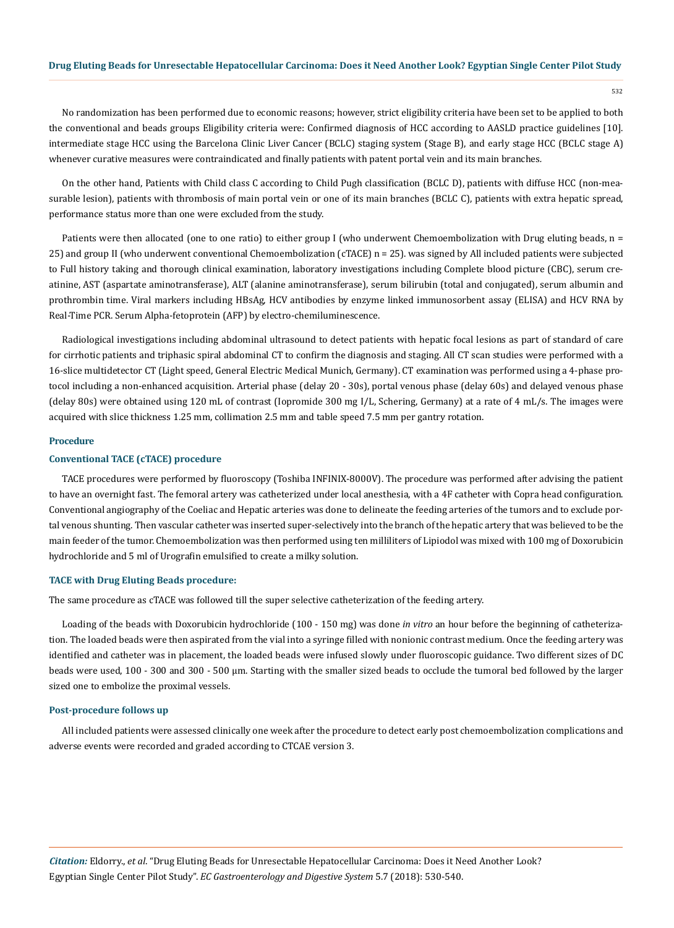532

No randomization has been performed due to economic reasons; however, strict eligibility criteria have been set to be applied to both the conventional and beads groups Eligibility criteria were: Confirmed diagnosis of HCC according to AASLD practice guidelines [10]. intermediate stage HCC using the Barcelona Clinic Liver Cancer (BCLC) staging system (Stage B), and early stage HCC (BCLC stage A) whenever curative measures were contraindicated and finally patients with patent portal vein and its main branches*.*

On the other hand, Patients with Child class C according to Child Pugh classification (BCLC D), patients with diffuse HCC (non-measurable lesion), patients with thrombosis of main portal vein or one of its main branches (BCLC C), patients with extra hepatic spread, performance status more than one were excluded from the study.

Patients were then allocated (one to one ratio) to either group I (who underwent Chemoembolization with Drug eluting beads,  $n =$ 25) and group II (who underwent conventional Chemoembolization (cTACE) n = 25). was signed by All included patients were subjected to Full history taking and thorough clinical examination, laboratory investigations including Complete blood picture (CBC), serum creatinine, AST (aspartate aminotransferase), ALT (alanine aminotransferase), serum bilirubin (total and conjugated), serum albumin and prothrombin time. Viral markers including HBsAg, HCV antibodies by enzyme linked immunosorbent assay (ELISA) and HCV RNA by Real-Time PCR. Serum Alpha-fetoprotein (AFP) by electro-chemiluminescence.

Radiological investigations including abdominal ultrasound to detect patients with hepatic focal lesions as part of standard of care for cirrhotic patients and triphasic spiral abdominal CT to confirm the diagnosis and staging. All CT scan studies were performed with a 16-slice multidetector CT (Light speed, General Electric Medical Munich, Germany). CT examination was performed using a 4-phase protocol including a non-enhanced acquisition. Arterial phase (delay 20 - 30s), portal venous phase (delay 60s) and delayed venous phase (delay 80s) were obtained using 120 mL of contrast (Iopromide 300 mg I/L, Schering, Germany) at a rate of 4 mL/s. The images were acquired with slice thickness 1.25 mm, collimation 2.5 mm and table speed 7.5 mm per gantry rotation.

#### **Procedure**

## **Conventional TACE (cTACE) procedure**

TACE procedures were performed by fluoroscopy (Toshiba INFINIX-8000V). The procedure was performed after advising the patient to have an overnight fast. The femoral artery was catheterized under local anesthesia, with a 4F catheter with Copra head configuration. Conventional angiography of the Coeliac and Hepatic arteries was done to delineate the feeding arteries of the tumors and to exclude portal venous shunting. Then vascular catheter was inserted super-selectively into the branch of the hepatic artery that was believed to be the main feeder of the tumor. Chemoembolization was then performed using ten milliliters of Lipiodol was mixed with 100 mg of Doxorubicin hydrochloride and 5 ml of Urografin emulsified to create a milky solution.

#### **TACE with Drug Eluting Beads procedure:**

The same procedure as cTACE was followed till the super selective catheterization of the feeding artery.

Loading of the beads with Doxorubicin hydrochloride (100 - 150 mg) was done *in vitro* an hour before the beginning of catheterization. The loaded beads were then aspirated from the vial into a syringe filled with nonionic contrast medium. Once the feeding artery was identified and catheter was in placement, the loaded beads were infused slowly under fluoroscopic guidance. Two different sizes of DC beads were used, 100 - 300 and 300 - 500 μm. Starting with the smaller sized beads to occlude the tumoral bed followed by the larger sized one to embolize the proximal vessels.

#### **Post-procedure follows up**

All included patients were assessed clinically one week after the procedure to detect early post chemoembolization complications and adverse events were recorded and graded according to CTCAE version 3.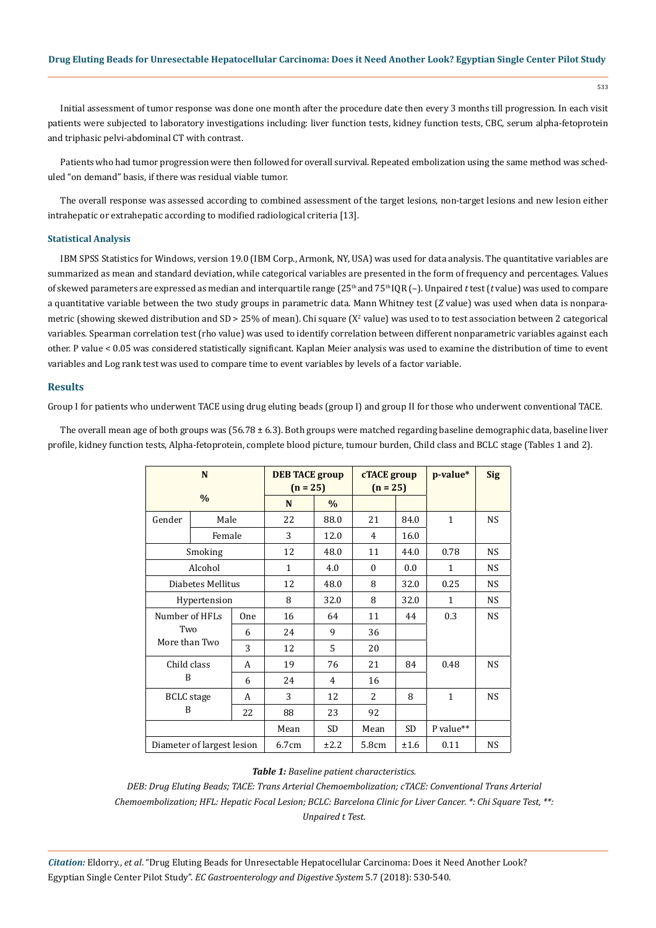Initial assessment of tumor response was done one month after the procedure date then every 3 months till progression. In each visit patients were subjected to laboratory investigations including: liver function tests, kidney function tests, CBC, serum alpha-fetoprotein and triphasic pelvi-abdominal CT with contrast.

Patients who had tumor progression were then followed for overall survival. Repeated embolization using the same method was scheduled "on demand" basis, if there was residual viable tumor.

The overall response was assessed according to combined assessment of the target lesions, non-target lesions and new lesion either intrahepatic or extrahepatic according to modified radiological criteria [13].

## **Statistical Analysis**

IBM SPSS Statistics for Windows, version 19.0 (IBM Corp., Armonk, NY, USA) was used for data analysis. The quantitative variables are summarized as mean and standard deviation, while categorical variables are presented in the form of frequency and percentages. Values of skewed parameters are expressed as median and interquartile range (25th and 75th IQR (–). Unpaired *t* test (*t* value) was used to compare a quantitative variable between the two study groups in parametric data. Mann Whitney test (*Z* value) was used when data is nonparametric (showing skewed distribution and SD > 25% of mean). Chi square ( $X^2$  value) was used to to test association between 2 categorical variables. Spearman correlation test (rho value) was used to identify correlation between different nonparametric variables against each other. P value < 0.05 was considered statistically significant. Kaplan Meier analysis was used to examine the distribution of time to event variables and Log rank test was used to compare time to event variables by levels of a factor variable.

#### **Results**

Group I for patients who underwent TACE using drug eluting beads (group I) and group II for those who underwent conventional TACE.

The overall mean age of both groups was  $(56.78 \pm 6.3)$ . Both groups were matched regarding baseline demographic data, baseline liver profile, kidney function tests, Alpha-fetoprotein, complete blood picture, tumour burden, Child class and BCLC stage (Tables 1 and 2).

| N                          |      | <b>DEB TACE group</b><br>$(n = 25)$ |              | cTACE group<br>$(n = 25)$ |           | p-value*     | <b>Sig</b>   |           |
|----------------------------|------|-------------------------------------|--------------|---------------------------|-----------|--------------|--------------|-----------|
| $\frac{0}{0}$              |      |                                     | N            | $\frac{0}{0}$             |           |              |              |           |
| Gender                     | Male |                                     | 22           | 88.0                      | 21        | 84.0         | $\mathbf{1}$ | NS.       |
| Female                     |      |                                     | 3            | 12.0                      | 4         | 16.0         |              |           |
| Smoking                    |      |                                     | 12           | 48.0                      | 11        | 44.0         | 0.78         | <b>NS</b> |
| Alcohol                    |      |                                     | $\mathbf{1}$ | 4.0                       | $\Omega$  | 0.0          | 1            | NS.       |
| Diabetes Mellitus          |      |                                     | 12           | 48.0                      | 8         | 32.0         | 0.25         | NS.       |
| Hypertension               |      | 8                                   | 32.0         | 8                         | 32.0      | $\mathbf{1}$ | NS.          |           |
| Number of HFLs             |      | <b>One</b>                          | 16           | 64                        | 11        | 44           | 0.3          | <b>NS</b> |
| Two                        |      | 6                                   | 24           | 9                         | 36        |              |              |           |
| More than Two              |      | 3                                   | 12           | 5                         | 20        |              |              |           |
| Child class                |      | A                                   | 19           | 76                        | 21        | 84           | 0.48         | <b>NS</b> |
| B                          |      | 6                                   | 24           | 4                         | 16        |              |              |           |
| <b>BCLC</b> stage          |      | A                                   | 3            | 12                        | 2         | 8            | $\mathbf{1}$ | NS.       |
| B                          |      | 22                                  | 88           | 23                        | 92        |              |              |           |
|                            |      | Mean                                | <b>SD</b>    | Mean                      | <b>SD</b> | P value**    |              |           |
| Diameter of largest lesion |      | 6.7cm                               | ±2.2         | 5.8cm                     | ±1.6      | 0.11         | <b>NS</b>    |           |

#### *Table 1: Baseline patient characteristics.*

*DEB: Drug Eluting Beads; TACE: Trans Arterial Chemoembolization; cTACE: Conventional Trans Arterial Chemoembolization; HFL: Hepatic Focal Lesion; BCLC: Barcelona Clinic for Liver Cancer. \*: Chi Square Test, \*\*: Unpaired t Test.*

*Citation:* Eldorry., *et al*. "Drug Eluting Beads for Unresectable Hepatocellular Carcinoma: Does it Need Another Look? Egyptian Single Center Pilot Study". *EC Gastroenterology and Digestive System* 5.7 (2018): 530-540.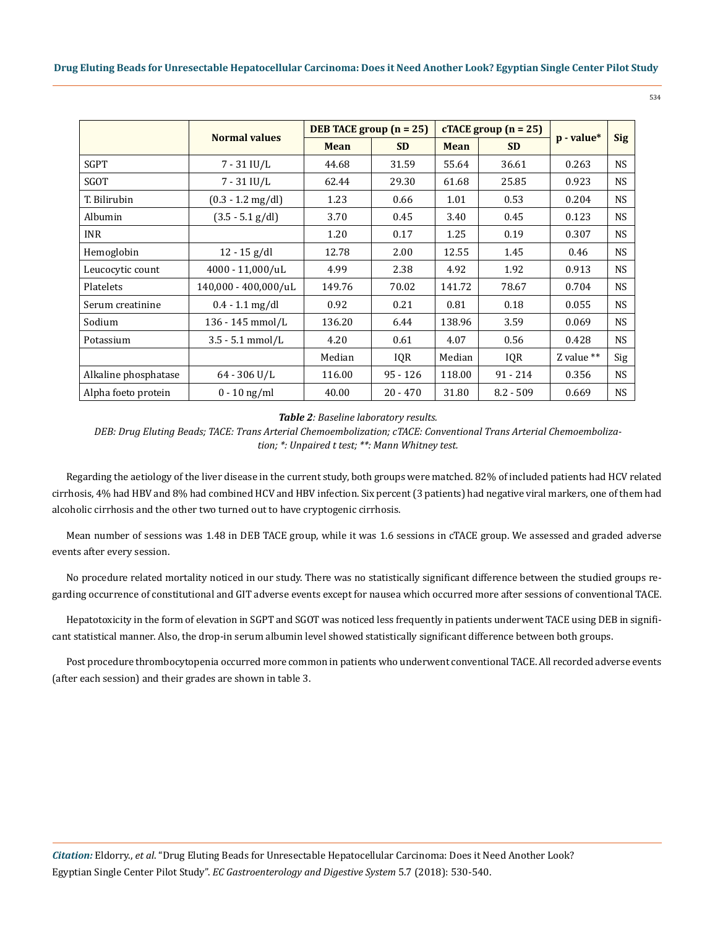|                      |                      | DEB TACE group $(n = 25)$ |            |             | $cTACE$ group $(n = 25)$ |                 | <b>Sig</b> |
|----------------------|----------------------|---------------------------|------------|-------------|--------------------------|-----------------|------------|
|                      | <b>Normal values</b> | <b>Mean</b>               | <b>SD</b>  | <b>Mean</b> | <b>SD</b>                | $p$ - value $*$ |            |
| <b>SGPT</b>          | $7 - 31$ IU/L        | 44.68                     | 31.59      | 55.64       | 36.61                    | 0.263           | <b>NS</b>  |
| SGOT                 | $7 - 31$ IU/L        | 62.44                     | 29.30      | 61.68       | 25.85                    | 0.923           | <b>NS</b>  |
| T. Bilirubin         | $(0.3 - 1.2$ mg/dl)  | 1.23                      | 0.66       | 1.01        | 0.53                     | 0.204           | <b>NS</b>  |
| Albumin              | $(3.5 - 5.1 g/dl)$   | 3.70                      | 0.45       | 3.40        | 0.45                     | 0.123           | <b>NS</b>  |
| <b>INR</b>           |                      | 1.20                      | 0.17       | 1.25        | 0.19                     | 0.307           | <b>NS</b>  |
| Hemoglobin           | $12 - 15$ g/dl       | 12.78                     | 2.00       | 12.55       | 1.45                     | 0.46            | <b>NS</b>  |
| Leucocytic count     | 4000 - 11,000/uL     | 4.99                      | 2.38       | 4.92        | 1.92                     | 0.913           | <b>NS</b>  |
| Platelets            | 140,000 - 400,000/uL | 149.76                    | 70.02      | 141.72      | 78.67                    | 0.704           | <b>NS</b>  |
| Serum creatinine     | $0.4 - 1.1$ mg/dl    | 0.92                      | 0.21       | 0.81        | 0.18                     | 0.055           | <b>NS</b>  |
| Sodium               | 136 - 145 mmol/L     | 136.20                    | 6.44       | 138.96      | 3.59                     | 0.069           | <b>NS</b>  |
| Potassium            | $3.5 - 5.1$ mmol/L   | 4.20                      | 0.61       | 4.07        | 0.56                     | 0.428           | <b>NS</b>  |
|                      |                      | Median                    | IQR        | Median      | IQR                      | Z value $**$    | Sig        |
| Alkaline phosphatase | $64 - 306$ U/L       | 116.00                    | $95 - 126$ | 118.00      | $91 - 214$               | 0.356           | <b>NS</b>  |
| Alpha foeto protein  | $0 - 10$ ng/ml       | 40.00                     | $20 - 470$ | 31.80       | $8.2 - 509$              | 0.669           | <b>NS</b>  |

*Table 2: Baseline laboratory results.*

*DEB: Drug Eluting Beads; TACE: Trans Arterial Chemoembolization; cTACE: Conventional Trans Arterial Chemoembolization; \*: Unpaired t test; \*\*: Mann Whitney test.*

Regarding the aetiology of the liver disease in the current study, both groups were matched. 82% of included patients had HCV related cirrhosis, 4% had HBV and 8% had combined HCV and HBV infection. Six percent (3 patients) had negative viral markers, one of them had alcoholic cirrhosis and the other two turned out to have cryptogenic cirrhosis.

Mean number of sessions was 1.48 in DEB TACE group, while it was 1.6 sessions in cTACE group. We assessed and graded adverse events after every session.

No procedure related mortality noticed in our study. There was no statistically significant difference between the studied groups regarding occurrence of constitutional and GIT adverse events except for nausea which occurred more after sessions of conventional TACE.

Hepatotoxicity in the form of elevation in SGPT and SGOT was noticed less frequently in patients underwent TACE using DEB in significant statistical manner. Also, the drop-in serum albumin level showed statistically significant difference between both groups.

Post procedure thrombocytopenia occurred more common in patients who underwent conventional TACE. All recorded adverse events (after each session) and their grades are shown in table 3.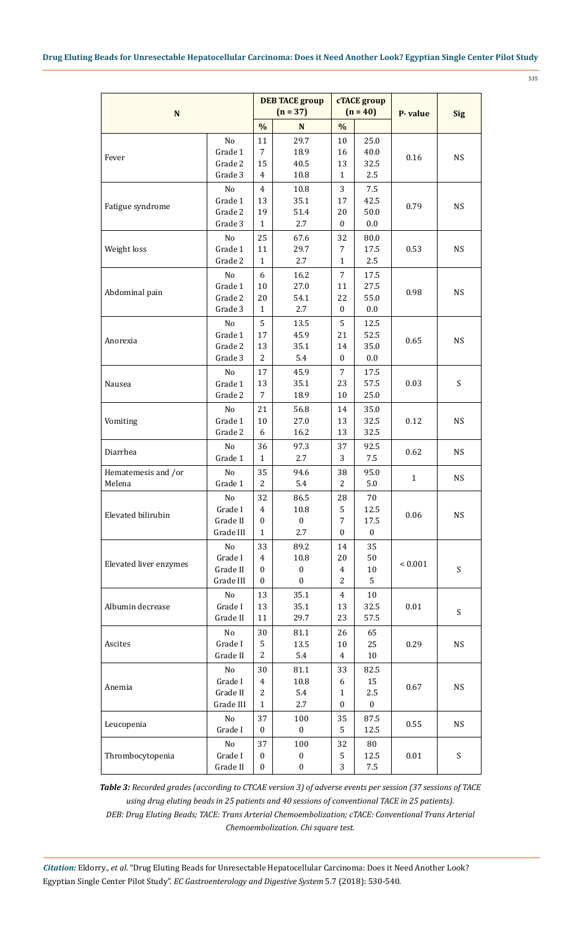535

| ${\bf N}$              |           |                  | <b>DEB TACE group</b><br>$(n = 37)$ |                         | cTACE group<br>$(n = 40)$ | P-value      |                           |  |
|------------------------|-----------|------------------|-------------------------------------|-------------------------|---------------------------|--------------|---------------------------|--|
|                        |           | $\frac{0}{0}$    | $\mathbf N$                         | $\frac{0}{0}$           |                           |              | <b>Sig</b>                |  |
|                        | No        | 11               | 29.7                                | 10                      | 25.0                      |              |                           |  |
|                        | Grade 1   | 7                | 18.9                                | 16                      | 40.0                      |              |                           |  |
| Fever                  | Grade 2   | 15               | 40.5                                | 13                      | 32.5                      | 0.16         | <b>NS</b>                 |  |
|                        | Grade 3   | 4                | 10.8                                | $\mathbf{1}$            | 2.5                       |              |                           |  |
|                        | No        | 4                | 10.8                                | 3                       | 7.5                       |              |                           |  |
|                        | Grade 1   | 13               | 35.1                                | 17                      | 42.5                      |              |                           |  |
| Fatigue syndrome       | Grade 2   | 19               | 51.4                                | 20                      | 50.0                      | 0.79         | <b>NS</b>                 |  |
|                        | Grade 3   | 1                | 2.7                                 | 0                       | $0.0\,$                   |              |                           |  |
|                        | No        | 25               | 67.6                                | 32                      | 80.0                      |              |                           |  |
| Weight loss            | Grade 1   | 11               | 29.7                                | 7                       | 17.5                      | 0.53         | <b>NS</b>                 |  |
|                        | Grade 2   | 1                | 2.7                                 | $\mathbf{1}$            | 2.5                       |              |                           |  |
|                        | No        | 6                | 16.2                                | 7                       | 17.5                      |              |                           |  |
|                        | Grade 1   | 10               | 27.0                                | 11                      | 27.5                      |              |                           |  |
| Abdominal pain         | Grade 2   | 20               | 54.1                                | 22                      | 55.0                      | 0.98         | <b>NS</b>                 |  |
|                        | Grade 3   | $\mathbf{1}$     | 2.7                                 | $\mathbf{0}$            | $0.0\,$                   |              |                           |  |
|                        | No        | 5                | 13.5                                | 5                       | 12.5                      |              |                           |  |
|                        | Grade 1   | 17               | 45.9                                | 21                      | 52.5                      |              |                           |  |
| Anorexia               | Grade 2   | 13               | 35.1                                | 14                      | 35.0                      | 0.65         | <b>NS</b>                 |  |
|                        | Grade 3   | 2                | 5.4                                 | $\mathbf{0}$            | 0.0                       |              |                           |  |
|                        | No        | 17               | 45.9                                | 7                       | 17.5                      |              |                           |  |
| Nausea                 | Grade 1   | 13               | 35.1                                | 23                      | 57.5                      | 0.03         | S                         |  |
|                        | Grade 2   | $\overline{7}$   | 18.9                                | 10                      | 25.0                      |              |                           |  |
|                        | No        | 21               | 56.8                                | 14                      | 35.0                      |              |                           |  |
| Vomiting               | Grade 1   | 10               | 27.0                                | 13                      | 32.5                      | 0.12         | <b>NS</b>                 |  |
|                        | Grade 2   | 6                | 16.2                                | 13                      | 32.5                      |              |                           |  |
|                        | No        | 36               | 97.3                                | 37                      | 92.5                      |              |                           |  |
| Diarrhea               | Grade 1   | $\mathbf{1}$     | 2.7                                 | 3                       | 7.5                       | 0.62         | <b>NS</b>                 |  |
| Hematemesis and /or    | No        | 35               | 94.6                                | 38                      | 95.0                      |              |                           |  |
| Melena                 | Grade 1   | 2                | 5.4                                 | 2                       | 5.0                       | $\mathbf{1}$ | <b>NS</b>                 |  |
|                        | No        | 32               | 86.5                                | 28                      | 70                        |              |                           |  |
|                        | Grade I   | $\overline{4}$   | 10.8                                | 5                       | 12.5                      |              |                           |  |
| Elevated bilirubin     | Grade II  | $\boldsymbol{0}$ | $\boldsymbol{0}$                    | 7                       | 17.5                      | 0.06         | NS                        |  |
|                        | Grade III | $\mathbf{1}$     | 2.7                                 | $\mathbf{0}$            | $\boldsymbol{0}$          |              |                           |  |
|                        | No        | 33               | 89.2                                | 14                      | 35                        |              |                           |  |
|                        | Grade I   | 4                | 10.8                                | 20                      | 50                        |              |                           |  |
| Elevated liver enzymes | Grade II  | 0                | $\boldsymbol{0}$                    | $\overline{\mathbf{4}}$ | $10\,$                    | ${}< 0.001$  | $\boldsymbol{\mathsf{S}}$ |  |
|                        | Grade III | 0                | $\boldsymbol{0}$                    | 2                       | 5                         |              |                           |  |
|                        | No        | 13               | 35.1                                | 4                       | 10                        |              |                           |  |
| Albumin decrease       | Grade I   | 13               | 35.1                                | 13                      | 32.5                      | $0.01\,$     |                           |  |
|                        | Grade II  | 11               | 29.7                                | 23                      | 57.5                      |              | S                         |  |
|                        | No        | 30               | 81.1                                | 26                      | 65                        |              |                           |  |
| Ascites                | Grade I   | 5                | 13.5                                | 10                      | 25                        | 0.29         | NS                        |  |
|                        | Grade II  | $\overline{2}$   | 5.4                                 | 4                       | 10                        |              |                           |  |
|                        | No        | 30               | 81.1                                | 33                      | 82.5                      |              |                           |  |
|                        | Grade I   | $\overline{4}$   | 10.8                                | 6                       | 15                        |              |                           |  |
| Anemia                 | Grade II  | 2                | 5.4                                 | 1                       | 2.5                       | 0.67         | <b>NS</b>                 |  |
|                        | Grade III | 1                | 2.7                                 | 0                       | $\boldsymbol{0}$          |              |                           |  |
|                        | No        | 37               | 100                                 | 35                      | 87.5                      |              |                           |  |
| Leucopenia             | Grade I   | 0                | 0                                   | 5                       | 12.5                      | 0.55         | <b>NS</b>                 |  |
|                        | $\rm No$  | 37               | 100                                 | 32                      | 80                        |              |                           |  |
| Thrombocytopenia       | Grade I   | $\boldsymbol{0}$ | 0                                   | 5                       | 12.5                      | $0.01\,$     | S                         |  |
|                        | Grade II  | $\boldsymbol{0}$ | 0                                   | 3                       | 7.5                       |              |                           |  |

*Table 3: Recorded grades (according to CTCAE version 3) of adverse events per session (37 sessions of TACE using drug eluting beads in 25 patients and 40 sessions of conventional TACE in 25 patients). DEB: Drug Eluting Beads; TACE: Trans Arterial Chemoembolization; cTACE: Conventional Trans Arterial Chemoembolization. Chi square test.*

*Citation:* Eldorry., *et al*. "Drug Eluting Beads for Unresectable Hepatocellular Carcinoma: Does it Need Another Look? Egyptian Single Center Pilot Study". *EC Gastroenterology and Digestive System* 5.7 (2018): 530-540.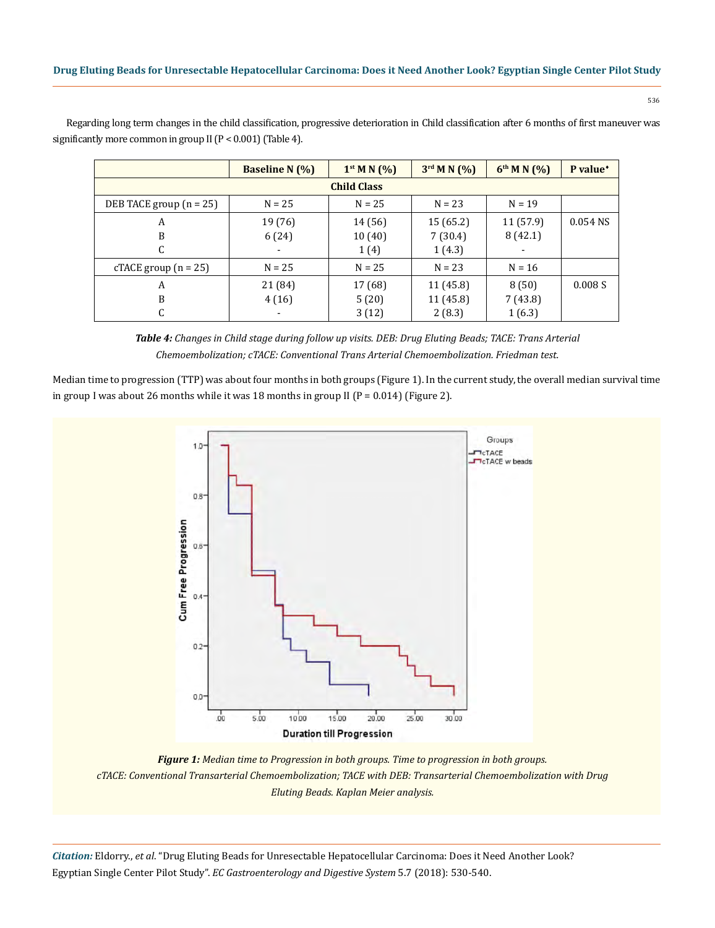Regarding long term changes in the child classification, progressive deterioration in Child classification after 6 months of first maneuver was significantly more common in group II (P < 0.001) (Table 4).

|                           | <b>Baseline N</b> (%) | $1^{st}$ M N $(\%)$ | $3^{\text{rd}}$ M N $(\%)$ | $6^{th}$ M N $(%)$ | P value <sup>*</sup> |  |  |  |  |
|---------------------------|-----------------------|---------------------|----------------------------|--------------------|----------------------|--|--|--|--|
| <b>Child Class</b>        |                       |                     |                            |                    |                      |  |  |  |  |
| DEB TACE group $(n = 25)$ | $N = 25$              | $N = 25$            | $N = 23$                   | $N = 19$           |                      |  |  |  |  |
| A                         | 19 (76)               | 14 (56)             | 15(65.2)                   | 11 (57.9)          | $0.054$ NS           |  |  |  |  |
| B                         | 6(24)                 | 10(40)              | 7(30.4)                    | 8(42.1)            |                      |  |  |  |  |
| C                         |                       | 1(4)                | 1(4.3)                     |                    |                      |  |  |  |  |
| cTACE group $(n = 25)$    | $N = 25$              | $N = 25$            | $N = 23$                   | $N = 16$           |                      |  |  |  |  |
| A                         | 21 (84)               | 17 (68)             | 11 (45.8)                  | 8(50)              | 0.008S               |  |  |  |  |
| B                         | 4(16)                 | 5(20)               | 11 (45.8)                  | 7 (43.8)           |                      |  |  |  |  |
| C                         |                       | 3(12)               | 2(8.3)                     | 1(6.3)             |                      |  |  |  |  |

*Table 4: Changes in Child stage during follow up visits. DEB: Drug Eluting Beads; TACE: Trans Arterial Chemoembolization; cTACE: Conventional Trans Arterial Chemoembolization. Friedman test.*

Median time to progression (TTP) was about four months in both groups (Figure 1). In the current study, the overall median survival time in group I was about 26 months while it was 18 months in group II ( $P = 0.014$ ) (Figure 2).



*Figure 1: Median time to Progression in both groups. Time to progression in both groups. cTACE: Conventional Transarterial Chemoembolization; TACE with DEB: Transarterial Chemoembolization with Drug Eluting Beads. Kaplan Meier analysis.*

*Citation:* Eldorry., *et al*. "Drug Eluting Beads for Unresectable Hepatocellular Carcinoma: Does it Need Another Look? Egyptian Single Center Pilot Study". *EC Gastroenterology and Digestive System* 5.7 (2018): 530-540.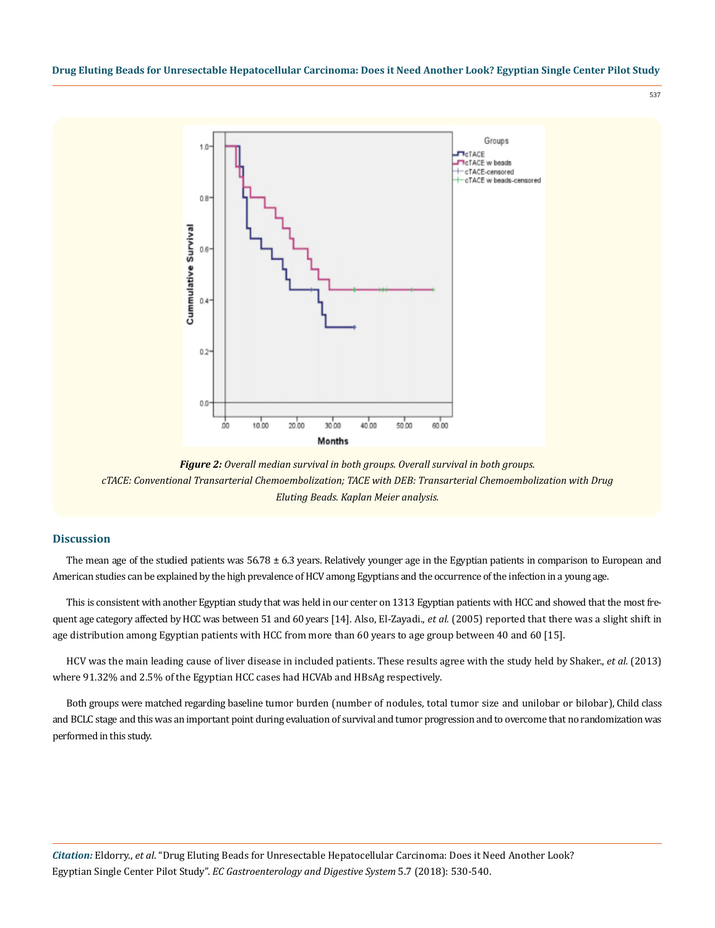537



*Figure 2: Overall median survival in both groups. Overall survival in both groups. cTACE: Conventional Transarterial Chemoembolization; TACE with DEB: Transarterial Chemoembolization with Drug Eluting Beads. Kaplan Meier analysis.*

## **Discussion**

The mean age of the studied patients was  $56.78 \pm 6.3$  years. Relatively younger age in the Egyptian patients in comparison to European and American studies can be explained by the high prevalence of HCV among Egyptians and the occurrence of the infection in a young age.

This is consistent with another Egyptian study that was held in our center on 1313 Egyptian patients with HCC and showed that the most frequent age category affected by HCC was between 51 and 60 years [14]. Also, El-Zayadi., *et al.* (2005) reported that there was a slight shift in age distribution among Egyptian patients with HCC from more than 60 years to age group between 40 and 60 [15].

HCV was the main leading cause of liver disease in included patients. These results agree with the study held by Shaker., *et al.* (2013) where 91.32% and 2.5% of the Egyptian HCC cases had HCVAb and HBsAg respectively.

Both groups were matched regarding baseline tumor burden (number of nodules, total tumor size and unilobar or bilobar), Child class and BCLC stage and this was an important point during evaluation of survival and tumor progression and to overcome that no randomization was performed in this study.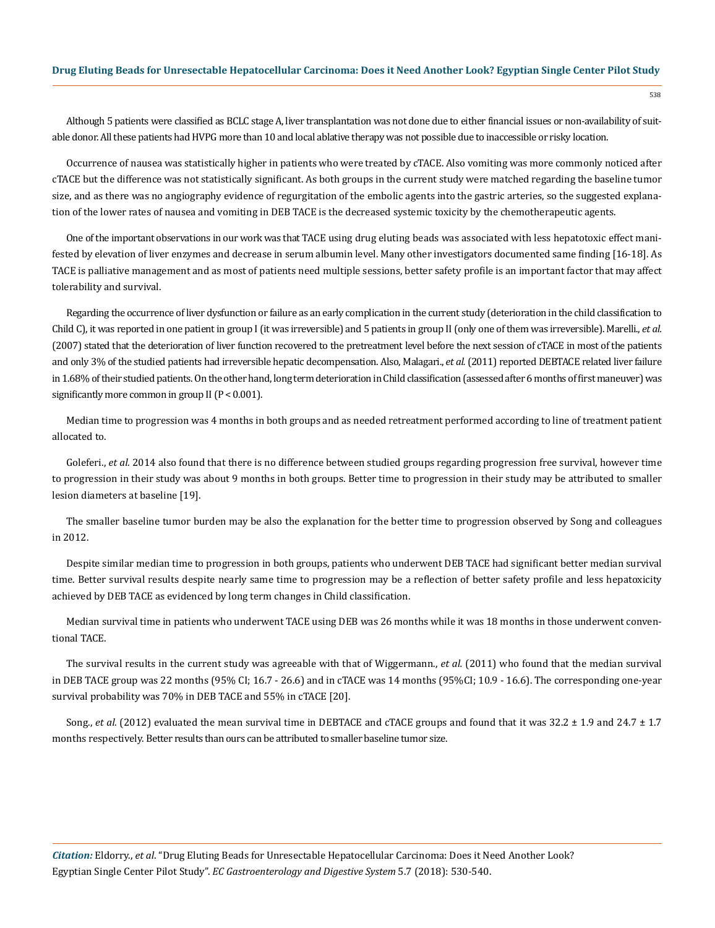Although 5 patients were classified as BCLC stage A, liver transplantation was not done due to either financial issues or non-availability of suitable donor. All these patients had HVPG more than 10 and local ablative therapy was not possible due to inaccessible or risky location.

Occurrence of nausea was statistically higher in patients who were treated by cTACE. Also vomiting was more commonly noticed after cTACE but the difference was not statistically significant. As both groups in the current study were matched regarding the baseline tumor size, and as there was no angiography evidence of regurgitation of the embolic agents into the gastric arteries, so the suggested explanation of the lower rates of nausea and vomiting in DEB TACE is the decreased systemic toxicity by the chemotherapeutic agents.

One of the important observations in our work was that TACE using drug eluting beads was associated with less hepatotoxic effect manifested by elevation of liver enzymes and decrease in serum albumin level. Many other investigators documented same finding [16-18]. As TACE is palliative management and as most of patients need multiple sessions, better safety profile is an important factor that may affect tolerability and survival.

Regarding the occurrence of liver dysfunction or failure as an early complication in the current study (deterioration in the child classification to Child C), it was reported in one patient in group I (it was irreversible) and 5 patients in group II (only one of them was irreversible). Marelli., *et al.* (2007) stated that the deterioration of liver function recovered to the pretreatment level before the next session of cTACE in most of the patients and only 3% of the studied patients had irreversible hepatic decompensation. Also, Malagari., *et al.*(2011) reported DEBTACE related liver failure in 1.68% of their studied patients. On the other hand, long term deterioration in Child classification (assessed after 6 months of first maneuver) was significantly more common in group  $II (P < 0.001)$ .

Median time to progression was 4 months in both groups and as needed retreatment performed according to line of treatment patient allocated to.

Goleferi., et al. 2014 also found that there is no difference between studied groups regarding progression free survival, however time to progression in their study was about 9 months in both groups. Better time to progression in their study may be attributed to smaller lesion diameters at baseline [19].

The smaller baseline tumor burden may be also the explanation for the better time to progression observed by Song and colleagues in 2012.

Despite similar median time to progression in both groups, patients who underwent DEB TACE had significant better median survival time. Better survival results despite nearly same time to progression may be a reflection of better safety profile and less hepatoxicity achieved by DEB TACE as evidenced by long term changes in Child classification.

Median survival time in patients who underwent TACE using DEB was 26 months while it was 18 months in those underwent conventional TACE.

The survival results in the current study was agreeable with that of Wiggermann., *et al.* (2011) who found that the median survival in DEB TACE group was 22 months (95% CI; 16.7 - 26.6) and in cTACE was 14 months (95%CI; 10.9 - 16.6). The corresponding one-year survival probability was 70% in DEB TACE and 55% in cTACE [20].

Song., *et al.* (2012) evaluated the mean survival time in DEBTACE and cTACE groups and found that it was 32.2 ± 1.9 and 24.7 ± 1.7 months respectively. Better results than ours can be attributed to smaller baseline tumor size.

*Citation:* Eldorry., *et al*. "Drug Eluting Beads for Unresectable Hepatocellular Carcinoma: Does it Need Another Look? Egyptian Single Center Pilot Study". *EC Gastroenterology and Digestive System* 5.7 (2018): 530-540.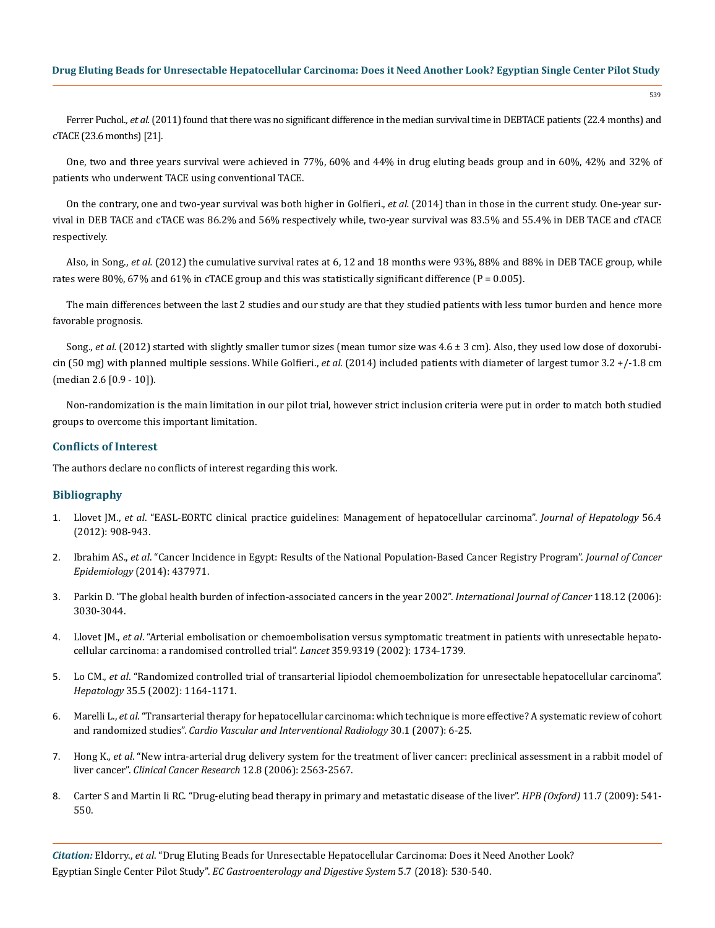Ferrer Puchol*., et al.* (2011) found that there was no significant difference in the median survival time in DEBTACE patients (22.4 months) and cTACE (23.6 months) [21].

One, two and three years survival were achieved in 77%, 60% and 44% in drug eluting beads group and in 60%, 42% and 32% of patients who underwent TACE using conventional TACE.

On the contrary, one and two-year survival was both higher in Golfieri., *et al.* (2014) than in those in the current study. One-year survival in DEB TACE and cTACE was 86.2% and 56% respectively while, two-year survival was 83.5% and 55.4% in DEB TACE and cTACE respectively.

Also, in Song., *et al.* (2012) the cumulative survival rates at 6, 12 and 18 months were 93%, 88% and 88% in DEB TACE group, while rates were 80%, 67% and 61% in cTACE group and this was statistically significant difference ( $P = 0.005$ ).

The main differences between the last 2 studies and our study are that they studied patients with less tumor burden and hence more favorable prognosis.

Song., *et al.* (2012) started with slightly smaller tumor sizes (mean tumor size was 4.6 ± 3 cm). Also, they used low dose of doxorubicin (50 mg) with planned multiple sessions. While Golfieri., *et al.* (2014) included patients with diameter of largest tumor 3.2 +/-1.8 cm (median 2.6 [0.9 - 10]).

Non-randomization is the main limitation in our pilot trial, however strict inclusion criteria were put in order to match both studied groups to overcome this important limitation.

#### **Conflicts of Interest**

The authors declare no conflicts of interest regarding this work.

## **Bibliography**

- 1. Llovet JM., *et al*[. "EASL-EORTC clinical practice guidelines: Management of hepatocellular carcinoma".](https://www.ncbi.nlm.nih.gov/pubmed/22424438) *Journal of Hepatology* 56.4 [\(2012\): 908-943.](https://www.ncbi.nlm.nih.gov/pubmed/22424438)
- 2. Ibrahim AS., *et al*[. "Cancer Incidence in Egypt: Results of the National Population-Based Cancer Registry Program".](https://www.hindawi.com/journals/jce/2014/437971/) *Journal of Cancer Epidemiology* [\(2014\): 437971.](https://www.hindawi.com/journals/jce/2014/437971/)
- 3. [Parkin D. "The global health burden of infection-associated cancers in the year 2002".](https://www.ncbi.nlm.nih.gov/pubmed/16404738) *International Journal of Cancer* 118.12 (2006): [3030-3044.](https://www.ncbi.nlm.nih.gov/pubmed/16404738)
- 4. Llovet JM., *et al*[. "Arterial embolisation or chemoembolisation versus symptomatic treatment in patients with unresectable hepato](https://www.ncbi.nlm.nih.gov/pubmed/12049862)[cellular carcinoma: a randomised controlled trial".](https://www.ncbi.nlm.nih.gov/pubmed/12049862) *Lancet* 359.9319 (2002): 1734-1739.
- 5. Lo CM., *et al*[. "Randomized controlled trial of transarterial lipiodol chemoembolization for unresectable hepatocellular carcinoma".](https://www.ncbi.nlm.nih.gov/pubmed/11981766)  *Hepatology* [35.5 \(2002\): 1164-1171.](https://www.ncbi.nlm.nih.gov/pubmed/11981766)
- 6. Marelli L., *et al*[. "Transarterial therapy for hepatocellular carcinoma: which technique is more effective? A systematic review of cohort](https://www.ncbi.nlm.nih.gov/pubmed/17103105)  and randomized studies". *[Cardio Vascular and Interventional Radiology](https://www.ncbi.nlm.nih.gov/pubmed/17103105)* 30.1 (2007): 6-25.
- 7. Hong K., *et al*[. "New intra-arterial drug delivery system for the treatment of liver cancer: preclinical assessment in a rabbit model of](https://www.ncbi.nlm.nih.gov/pubmed/16638866)  liver cancer". *[Clinical Cancer Research](https://www.ncbi.nlm.nih.gov/pubmed/16638866)* 12.8 (2006): 2563-2567.
- 8. [Carter S and Martin Ii RC. "Drug-eluting bead therapy in primary and metastatic disease of the liver".](https://www.ncbi.nlm.nih.gov/pubmed/20495705) *HPB (Oxford)* 11.7 (2009): 541- [550.](https://www.ncbi.nlm.nih.gov/pubmed/20495705)

*Citation:* Eldorry., *et al*. "Drug Eluting Beads for Unresectable Hepatocellular Carcinoma: Does it Need Another Look? Egyptian Single Center Pilot Study". *EC Gastroenterology and Digestive System* 5.7 (2018): 530-540.